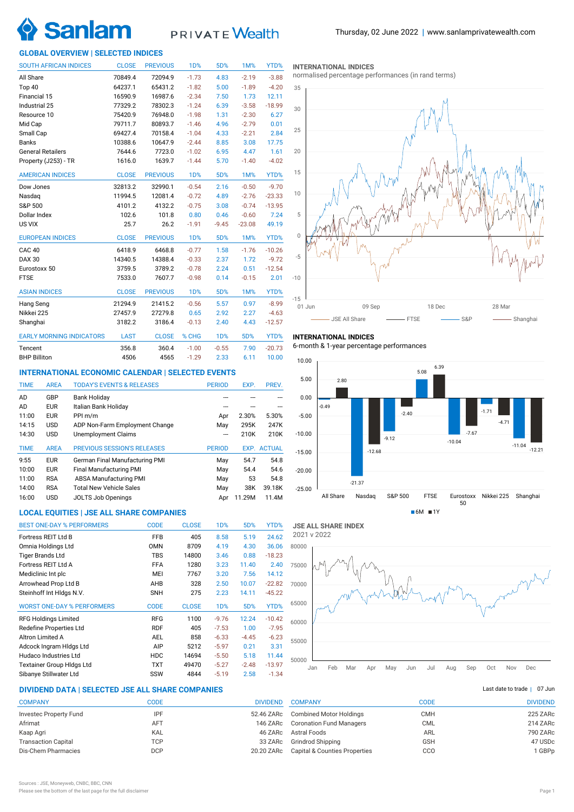

# PRIVATE Wealth

# **GLOBAL OVERVIEW | SELECTED INDICES**

| <b>SOUTH AFRICAN INDICES</b>    | <b>CLOSE</b> | <b>PREVIOUS</b> | 1 <sub>D</sub> % | 5D%              | 1M%      | YTD%     |
|---------------------------------|--------------|-----------------|------------------|------------------|----------|----------|
| All Share                       | 70849.4      | 72094.9         | $-1.73$          | 4.83             | $-2.19$  | $-3.88$  |
| Top 40                          | 64237.1      | 65431.2         | $-1.82$          | 5.00             | $-1.89$  | $-4.20$  |
| Financial 15                    | 16590.9      | 16987.6         | $-2.34$          | 7.50             | 1.73     | 12.11    |
| Industrial 25                   | 77329.2      | 78302.3         | $-1.24$          | 6.39             | $-3.58$  | $-18.99$ |
| Resource 10                     | 75420.9      | 76948.0         | $-1.98$          | 1.31             | $-2.30$  | 6.27     |
| Mid Cap                         | 79711.7      | 80893.7         | $-1.46$          | 4.96             | $-2.79$  | 0.01     |
| Small Cap                       | 69427.4      | 70158.4         | $-1.04$          | 4.33             | $-2.21$  | 2.84     |
| <b>Banks</b>                    | 10388.6      | 10647.9         | $-2.44$          | 8.85             | 3.08     | 17.75    |
| <b>General Retailers</b>        | 7644.6       | 7723.0          | $-1.02$          | 6.95             | 4.47     | 1.61     |
| Property (J253) - TR            | 1616.0       | 1639.7          | $-1.44$          | 5.70             | $-1.40$  | $-4.02$  |
| <b>AMERICAN INDICES</b>         | <b>CLOSE</b> | <b>PREVIOUS</b> | <b>1D%</b>       | 5D%              | 1M%      | YTD%     |
| Dow Jones                       | 32813.2      | 32990.1         | $-0.54$          | 2.16             | $-0.50$  | $-9.70$  |
| Nasdag                          | 11994.5      | 12081.4         | $-0.72$          | 4.89             | $-2.76$  | $-23.33$ |
| S&P 500                         | 4101.2       | 4132.2          | $-0.75$          | 3.08             | $-0.74$  | $-13.95$ |
| Dollar Index                    | 102.6        | 101.8           | 0.80             | 0.46             | $-0.60$  | 7.24     |
| US VIX                          | 25.7         | 26.2            | $-1.91$          | $-9.45$          | $-23.08$ | 49.19    |
| <b>EUROPEAN INDICES</b>         | <b>CLOSE</b> | <b>PREVIOUS</b> | 1 <sub>D</sub> % | 5D%              | 1M%      | YTD%     |
| CAC <sub>40</sub>               | 6418.9       | 6468.8          | $-0.77$          | 1.58             | $-1.76$  | $-10.26$ |
| <b>DAX 30</b>                   | 14340.5      | 14388.4         | $-0.33$          | 2.37             | 1.72     | $-9.72$  |
| Eurostoxx 50                    | 3759.5       | 3789.2          | $-0.78$          | 2.24             | 0.51     | $-12.54$ |
| <b>FTSE</b>                     | 7533.0       | 7607.7          | $-0.98$          | 0.14             | $-0.15$  | 2.01     |
| <b>ASIAN INDICES</b>            | <b>CLOSE</b> | <b>PREVIOUS</b> | 1D%              | 5D%              | 1M%      | YTD%     |
| Hang Seng                       | 21294.9      | 21415.2         | $-0.56$          | 5.57             | 0.97     | $-8.99$  |
| Nikkei 225                      | 27457.9      | 27279.8         | 0.65             | 2.92             | 2.27     | $-4.63$  |
| Shanghai                        | 3182.2       | 3186.4          | $-0.13$          | 2.40             | 4.43     | $-12.57$ |
| <b>EARLY MORNING INDICATORS</b> | <b>LAST</b>  | <b>CLOSE</b>    | % CHG            | 1 <sub>D</sub> % | 5D%      | YTD%     |
| Tencent                         | 356.8        | 360.4           | $-1.00$          | $-0.55$          | 7.90     | $-20.73$ |
| <b>BHP Billiton</b>             | 4506         | 4565            | $-1.29$          | 2.33             | 6.11     | 10.00    |

# **INTERNATIONAL ECONOMIC CALENDAR | SELECTED EVENTS**

| <b>TIME</b> | <b>AREA</b> | <b>TODAY'S EVENTS &amp; RELEASES</b> | <b>PERIOD</b> | EXP.  | PREV.              |
|-------------|-------------|--------------------------------------|---------------|-------|--------------------|
| AD          | GBP         | <b>Bank Holiday</b>                  |               |       |                    |
| AD          | <b>EUR</b>  | Italian Bank Holiday                 |               |       |                    |
| 11:00       | <b>EUR</b>  | PPI m/m                              | Apr           | 2.30% | 5.30%              |
| 14:15       | <b>USD</b>  | ADP Non-Farm Employment Change       | May           | 295K  | 247K               |
| 14:30       | <b>USD</b>  | Unemployment Claims                  |               | 210K  | 210K               |
| <b>TIME</b> | <b>AREA</b> | <b>PREVIOUS SESSION'S RELEASES</b>   | <b>PERIOD</b> |       | <b>EXP. ACTUAL</b> |
| 9:55        | <b>EUR</b>  | German Final Manufacturing PMI       | May           | 54.7  | 54.8               |
| 10:00       | <b>EUR</b>  | Final Manufacturing PMI              | May           | 54.4  | 54.6               |
| 11:00       | <b>RSA</b>  | <b>ABSA Manufacturing PMI</b>        | May           | 53    | 54.8               |
|             |             |                                      |               |       |                    |
| 14:00       | <b>RSA</b>  | <b>Total New Vehicle Sales</b>       | May           | 38K   | 39.18K             |

# **LOCAL EQUITIES | JSE ALL SHARE COMPANIES**

| <b>BEST ONE-DAY % PERFORMERS</b>  | <b>CODE</b> | <b>CLOSE</b> | 1 <sub>D</sub> % | 5D%     | YTD%     |
|-----------------------------------|-------------|--------------|------------------|---------|----------|
| Fortress REIT Ltd B               | <b>FFB</b>  | 405          | 8.58             | 5.19    | 24.62    |
| Omnia Holdings Ltd                | <b>OMN</b>  | 8709         | 4.19             | 4.30    | 36.06    |
| <b>Tiger Brands Ltd</b>           | <b>TBS</b>  | 14800        | 3.46             | 0.88    | $-18.23$ |
| Fortress REIT Ltd A               | <b>FFA</b>  | 1280         | 3.23             | 11.40   | 2.40     |
| Mediclinic Int plc                | MEI         | 7767         | 3.20             | 7.56    | 14.12    |
| Arrowhead Prop Ltd B              | AHB         | 328          | 2.50             | 10.07   | $-22.82$ |
| Steinhoff Int HIdgs N.V.          | <b>SNH</b>  | 275          | 2.23             | 14.11   | $-45.22$ |
| <b>WORST ONE-DAY % PERFORMERS</b> | <b>CODE</b> | <b>CLOSE</b> | 1 <sub>D</sub> % | 5D%     | YTD%     |
| <b>RFG Holdings Limited</b>       | <b>RFG</b>  | 1100         | $-9.76$          | 12.24   | $-10.42$ |
| Redefine Properties Ltd           | <b>RDF</b>  | 405          | $-7.53$          | 1.00    | $-7.95$  |
| Altron Limited A                  | <b>AEL</b>  | 858          | $-6.33$          | $-4.45$ | $-6.23$  |
| Adcock Ingram Hidgs Ltd           | AIP         | 5212         | $-5.97$          | 0.21    | 3.31     |
| Hudaco Industries Ltd             | <b>HDC</b>  | 14694        | $-5.50$          | 5.18    | 11.44    |
| <b>Textainer Group Hidgs Ltd</b>  | <b>TXT</b>  | 49470        | $-5.27$          | $-2.48$ | $-13.97$ |
| Sibanye Stillwater Ltd            | SSW         | 4844         | $-5.19$          | 2.58    | $-1.34$  |

#### **INTERNATIONAL INDICES**

normalised percentage performances (in rand terms)



# **INTERNATIONAL INDICES**

6-month & 1-year percentage performances



**JSE ALL SHARE INDEX** 2021 v 2022



# **DIVIDEND DATA | SELECTED JSE ALL SHARE COMPANIES |**

| <b>COMPANY</b>                | CODE       | <b>DIVIDEND</b> |
|-------------------------------|------------|-----------------|
| <b>Investec Property Fund</b> | <b>IPF</b> | 52.46 ZARc      |
| Afrimat                       | <b>AFT</b> | 146 ZARc        |
| Kaap Agri                     | KAL        | 46 ZARc         |
| <b>Transaction Capital</b>    | TCP        | 33 ZARc         |
| Dis-Chem Pharmacies           | <b>DCP</b> | 20.20 ZARc      |

| <b>COMPANY</b>                  | CODE       | <b>DIVIDEND</b> |
|---------------------------------|------------|-----------------|
| <b>Combined Motor Holdings</b>  | CMH        | 225 ZARc        |
| <b>Coronation Fund Managers</b> | <b>CML</b> | 214 ZARc        |
| Astral Foods                    | ARL        | 790 ZARc        |
| Grindrod Shipping               | <b>GSH</b> | 47 USDc         |
| Capital & Counties Properties   | CCO        | 1 GBPp          |

Last date to trade  $|$  07 Jun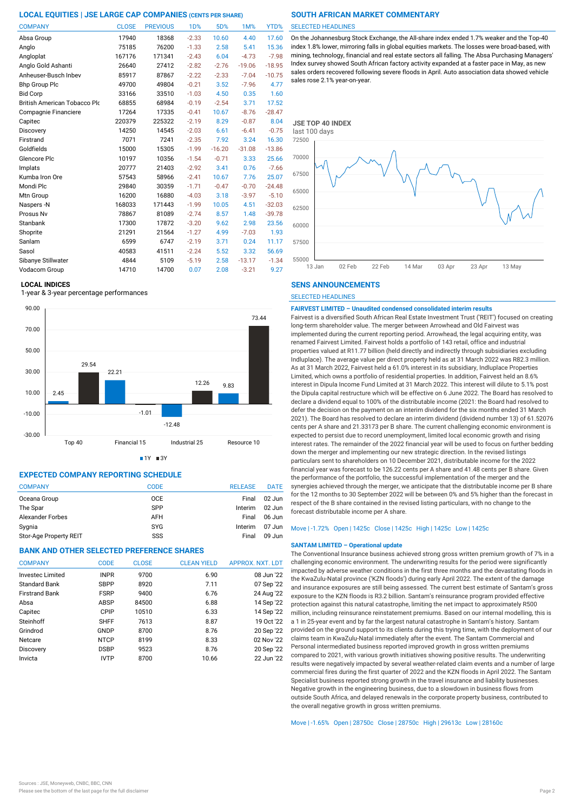| <b>COMPANY</b>               | <b>CLOSE</b> | <b>PREVIOUS</b> | <b>1D%</b> | 5D%      | 1M%      | YTD%     |
|------------------------------|--------------|-----------------|------------|----------|----------|----------|
| Absa Group                   | 17940        | 18368           | $-2.33$    | 10.60    | 4.40     | 17.60    |
| Anglo                        | 75185        | 76200           | $-1.33$    | 2.58     | 5.41     | 15.36    |
| Angloplat                    | 167176       | 171341          | $-2.43$    | 6.04     | $-4.73$  | $-7.98$  |
| Anglo Gold Ashanti           | 26640        | 27412           | $-2.82$    | $-2.76$  | $-19.06$ | $-18.95$ |
| Anheuser-Busch Inbev         | 85917        | 87867           | $-2.22$    | $-2.33$  | $-7.04$  | $-10.75$ |
| <b>Bhp Group Plc</b>         | 49700        | 49804           | $-0.21$    | 3.52     | $-7.96$  | 4.77     |
| <b>Bid Corp</b>              | 33166        | 33510           | $-1.03$    | 4.50     | 0.35     | 1.60     |
| British American Tobacco Plo | 68855        | 68984           | $-0.19$    | $-2.54$  | 3.71     | 17.52    |
| Compagnie Financiere         | 17264        | 17335           | $-0.41$    | 10.67    | $-8.76$  | $-28.47$ |
| Capitec                      | 220379       | 225322          | $-2.19$    | 8.29     | $-0.87$  | 8.04     |
| Discovery                    | 14250        | 14545           | $-2.03$    | 6.61     | $-6.41$  | $-0.75$  |
| Firstrand                    | 7071         | 7241            | $-2.35$    | 7.92     | 3.24     | 16.30    |
| Goldfields                   | 15000        | 15305           | $-1.99$    | $-16.20$ | $-31.08$ | $-13.86$ |
| Glencore Plc                 | 10197        | 10356           | $-1.54$    | $-0.71$  | 3.33     | 25.66    |
| Implats                      | 20777        | 21403           | $-2.92$    | 3.41     | 0.76     | $-7.66$  |
| Kumba Iron Ore               | 57543        | 58966           | $-2.41$    | 10.67    | 7.76     | 25.07    |
| Mondi Plc                    | 29840        | 30359           | $-1.71$    | $-0.47$  | $-0.70$  | $-24.48$ |
| Mtn Group                    | 16200        | 16880           | $-4.03$    | 3.18     | $-3.97$  | $-5.10$  |
| Naspers -N                   | 168033       | 171443          | $-1.99$    | 10.05    | 4.51     | $-32.03$ |
| Prosus Nv                    | 78867        | 81089           | $-2.74$    | 8.57     | 1.48     | $-39.78$ |
| Stanbank                     | 17300        | 17872           | $-3.20$    | 9.62     | 2.98     | 23.56    |
| Shoprite                     | 21291        | 21564           | $-1.27$    | 4.99     | $-7.03$  | 1.93     |
| Sanlam                       | 6599         | 6747            | $-2.19$    | 3.71     | 0.24     | 11.17    |
| Sasol                        | 40583        | 41511           | $-2.24$    | 5.52     | 3.32     | 56.69    |
| Sibanye Stillwater           | 4844         | 5109            | $-5.19$    | 2.58     | $-13.17$ | $-1.34$  |
| Vodacom Group                | 14710        | 14700           | 0.07       | 2.08     | $-3.21$  | 9.27     |

#### **LOCAL INDICES**

1-year & 3-year percentage performances



 $1Y = 3Y$ 

# **EXPECTED COMPANY REPORTING SCHEDULE**

| <b>COMPANY</b>         | CODE       | <b>RELEASE</b> | <b>DATE</b> |
|------------------------|------------|----------------|-------------|
| Oceana Group           | <b>OCE</b> | Final          | $02$ Jun    |
| The Spar               | <b>SPP</b> | Interim        | $02$ Jun    |
| Alexander Forbes       | <b>AFH</b> | Final          | 06 Jun      |
| Sygnia                 | <b>SYG</b> | Interim        | $07$ Jun    |
| Stor-Age Property REIT | SSS        | Final          | 09 Jun      |

# **BANK AND OTHER SELECTED PREFERENCE SHARES**

| <b>COMPANY</b>          | <b>CODE</b> | <b>CLOSE</b> | <b>CLEAN YIELD</b> | APPROX. NXT. LDT |
|-------------------------|-------------|--------------|--------------------|------------------|
| <b>Invested Limited</b> | <b>INPR</b> | 9700         | 6.90               | 08 Jun '22       |
| <b>Standard Bank</b>    | <b>SBPP</b> | 8920         | 7.11               | 07 Sep '22       |
| <b>Firstrand Bank</b>   | <b>FSRP</b> | 9400         | 6.76               | 24 Aug '22       |
| Absa                    | ABSP        | 84500        | 6.88               | 14 Sep '22       |
| Capitec                 | CPIP        | 10510        | 6.33               | 14 Sep '22       |
| Steinhoff               | <b>SHFF</b> | 7613         | 8.87               | 19 Oct '22       |
| Grindrod                | GNDP        | 8700         | 8.76               | 20 Sep '22       |
| Netcare                 | <b>NTCP</b> | 8199         | 8.33               | 02 Nov '22       |
| Discovery               | <b>DSBP</b> | 9523         | 8.76               | 20 Sep '22       |
| Invicta                 | <b>IVTP</b> | 8700         | 10.66              | 22 Jun '22       |

#### SELECTED HEADLINES

On the Johannesburg Stock Exchange, the All-share index ended 1.7% weaker and the Top-40 index 1.8% lower, mirroring falls in global equities markets. The losses were broad-based, with mining, technology, financial and real estate sectors all falling. The Absa Purchasing Managers' Index survey showed South African factory activity expanded at a faster pace in May, as new sales orders recovered following severe floods in April. Auto association data showed vehicle sales rose 2.1% year-on-year.



# **SENS ANNOUNCEMENTS**

SELECTED HEADLINES

# **FAIRVEST LIMITED – Unaudited condensed consolidated interim results**

Fairvest is a diversified South African Real Estate Investment Trust ('REIT') focused on creating long-term shareholder value. The merger between Arrowhead and Old Fairvest was implemented during the current reporting period. Arrowhead, the legal acquiring entity, was renamed Fairvest Limited. Fairvest holds a portfolio of 143 retail, office and industrial properties valued at R11.77 billion (held directly and indirectly through subsidiaries excluding Indluplace). The average value per direct property held as at 31 March 2022 was R82.3 million. As at 31 March 2022, Fairvest held a 61.0% interest in its subsidiary, Indluplace Properties Limited, which owns a portfolio of residential properties. In addition, Fairvest held an 8.6% interest in Dipula Income Fund Limited at 31 March 2022. This interest will dilute to 5.1% post the Dipula capital restructure which will be effective on 6 June 2022. The Board has resolved to declare a dividend equal to 100% of the distributable income (2021: the Board had resolved to defer the decision on the payment on an interim dividend for the six months ended 31 March 2021). The Board has resolved to declare an interim dividend (dividend number 13) of 61.52076 cents per A share and 21.33173 per B share. The current challenging economic environment is expected to persist due to record unemployment, limited local economic growth and rising interest rates. The remainder of the 2022 financial year will be used to focus on further bedding down the merger and implementing our new strategic direction. In the revised listings particulars sent to shareholders on 10 December 2021, distributable income for the 2022 financial year was forecast to be 126.22 cents per A share and 41.48 cents per B share. Given the performance of the portfolio, the successful implementation of the merger and the synergies achieved through the merger, we anticipate that the distributable income per B share for the 12 months to 30 September 2022 will be between 0% and 5% higher than the forecast in respect of the B share contained in the revised listing particulars, with no change to the forecast distributable income per A share.

## Move | -1.72% Open | 1425c Close | 1425c High | 1425c Low | 1425c

# **SANTAM LIMITED – Operational update**

The Conventional Insurance business achieved strong gross written premium growth of 7% in a challenging economic environment. The underwriting results for the period were significantly impacted by adverse weather conditions in the first three months and the devastating floods in the KwaZulu-Natal province ('KZN floods') during early April 2022. The extent of the damage and insurance exposures are still being assessed. The current best estimate of Santam's gross exposure to the KZN floods is R3.2 billion. Santam's reinsurance program provided effective protection against this natural catastrophe, limiting the net impact to approximately R500 million, including reinsurance reinstatement premiums. Based on our internal modelling, this is a 1 in 25-year event and by far the largest natural catastrophe in Santam's history. Santam provided on the ground support to its clients during this trying time, with the deployment of our claims team in KwaZulu-Natal immediately after the event. The Santam Commercial and Personal intermediated business reported improved growth in gross written premiums compared to 2021, with various growth initiatives showing positive results. The underwriting results were negatively impacted by several weather-related claim events and a number of large commercial fires during the first quarter of 2022 and the KZN floods in April 2022. The Santam Specialist business reported strong growth in the travel insurance and liability businesses. Negative growth in the engineering business, due to a slowdown in business flows from outside South Africa, and delayed renewals in the corporate property business, contributed to the overall negative growth in gross written premiums.

Move | -1.65% Open | 28750c Close | 28750c High | 29613c Low | 28160c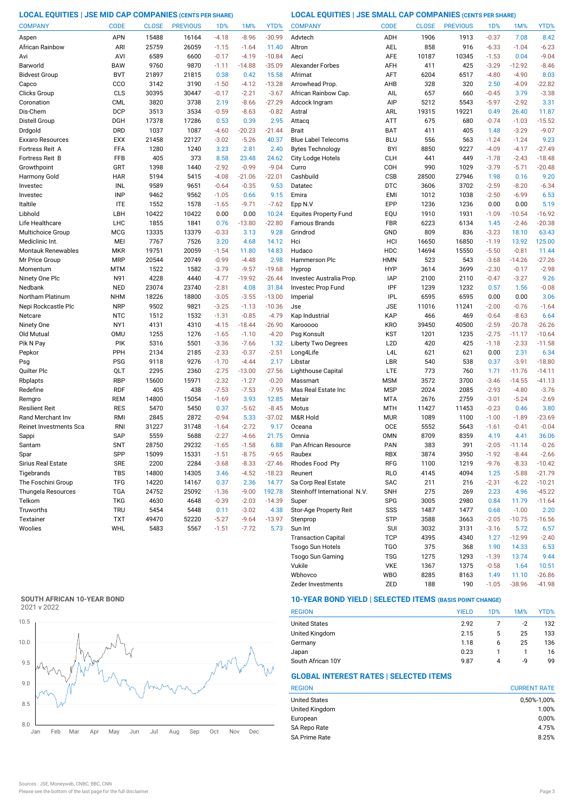**LOCAL EQUITIES | JSE MID CAP COMPANIES (CENTS PER SHARE) LOCAL EQUITIES | JSE SMALL CAP COMPANIES (CENTS PER SHARE)**

| <b>COMPANY</b>           | <b>CODE</b>              | <b>CLOSE</b> | <b>PREVIOUS</b> | 1 <sub>D</sub> %   | 1M%                | YTD%               | <b>COMPANY</b>                  | <b>CODE</b>              | <b>CLOSE</b> | <b>PREVIOUS</b> | 1D%                | 1M%                 | YTD%                |
|--------------------------|--------------------------|--------------|-----------------|--------------------|--------------------|--------------------|---------------------------------|--------------------------|--------------|-----------------|--------------------|---------------------|---------------------|
| Aspen                    | <b>APN</b>               | 15488        | 16164           | $-4.18$            | $-8.96$            | $-30.99$           | Advtech                         | ADH                      | 1906         | 1913            | $-0.37$            | 7.08                | 8.42                |
| African Rainbow          | ARI                      | 25759        | 26059           | $-1.15$            | $-1.64$            | 11.40              | Altron                          | <b>AEL</b>               | 858          | 916             | $-6.33$            | $-1.04$             | $-6.23$             |
| Avi                      | AVI                      | 6589         | 6600            | $-0.17$            | $-4.19$            | $-10.84$           | Aeci                            | AFE                      | 10187        | 10345           | $-1.53$            | 0.04                | $-9.04$             |
| Barworld                 | <b>BAW</b>               | 9760         | 9870            | $-1.11$            | $-14.88$           | $-35.09$           | <b>Alexander Forbes</b>         | AFH                      | 411          | 425             | $-3.29$            | $-12.92$            | $-8.46$             |
| <b>Bidvest Group</b>     | <b>BVT</b>               | 21897        | 21815           | 0.38               | 0.42               | 15.58              | Afrimat                         | AFT                      | 6204         | 6517            | $-4.80$            | $-4.90$             | 8.03                |
| Capco                    | CCO                      | 3142         | 3190            | $-1.50$            | $-4.12$            | $-13.28$           | Arrowhead Prop                  | AHB                      | 328          | 320             | 2.50               | $-4.09$             | $-22.82$            |
| Clicks Group             | CLS                      | 30395        | 30447           | $-0.17$            | $-2.21$            | $-3.67$            | African Rainbow Cap.            | AIL                      | 657          | 660             | $-0.45$            | 3.79                | $-3.38$             |
| Coronation               | <b>CML</b>               | 3820         | 3738            | 2.19               | $-8.66$            | $-27.29$           | Adcock Ingram                   | AIP                      | 5212         | 5543            | $-5.97$            | $-2.92$             | 3.31                |
| Dis-Chem                 | <b>DCP</b>               | 3513         | 3534            | $-0.59$            | $-8.63$            | $-0.82$            | Astral                          | ARL                      | 19315        | 19221           | 0.49               | 26.40               | 11.87               |
| Distell Group            | DGH                      | 17378        | 17286           | 0.53               | 0.39               | 2.95               | Attacq                          | <b>ATT</b>               | 675          | 680             | $-0.74$            | $-1.03$             | $-15.52$            |
| Drdgold                  | <b>DRD</b>               | 1037         | 1087            | $-4.60$            | $-20.23$           | $-21.44$           | <b>Brait</b>                    | <b>BAT</b>               | 411          | 405             | 1.48               | $-3.29$             | $-9.07$             |
| Exxaro Resources         | <b>EXX</b>               | 21458        | 22127           | $-3.02$            | $-5.26$            | 40.37              | <b>Blue Label Telecoms</b>      | <b>BLU</b>               | 556          | 563             | $-1.24$            | $-1.24$             | 9.23                |
| Fortress Reit A          | FFA                      | 1280         | 1240            | 3.23               | 2.81               | 2.40               | <b>Bytes Technology</b>         | <b>BYI</b>               | 8850         | 9227            | $-4.09$            | $-4.17$             | $-27.49$            |
| <b>Fortress Reit B</b>   | FFB                      | 405          | 373             | 8.58               | 23.48              | 24.62              | City Lodge Hotels               | <b>CLH</b>               | 441          | 449             | $-1.78$            | $-2.43$             | $-18.48$            |
| Growthpoint              | GRT                      | 1398         | 1440            | $-2.92$            | $-0.99$            | $-9.04$            | Curro                           | COH                      | 990          | 1029            | $-3.79$            | $-5.71$             | $-20.48$            |
| Harmony Gold             | <b>HAR</b>               | 5194         | 5415            | $-4.08$            | $-21.06$           | $-22.01$           | Cashbuild                       | CSB                      | 28500        | 27946           | 1.98               | 0.16                | 9.20                |
| Investec                 | INL                      | 9589         | 9651            | $-0.64$            | $-0.35$            | 9.53               | Datatec                         | <b>DTC</b>               | 3606         | 3702            | $-2.59$            | $-8.20$             | $-6.34$             |
| Investec                 | <b>INP</b>               | 9462         | 9562            | $-1.05$            | 0.66               | 9.15               | Emira                           | <b>EMI</b>               | 1012         | 1038            | $-2.50$            | $-6.99$             | 6.53                |
| Italtile                 | <b>ITE</b>               | 1552         | 1578            | $-1.65$            | $-9.71$            | $-7.62$            | Epp N.V                         | EPP                      | 1236         | 1236            | 0.00               | 0.00                | 5.19                |
| Libhold                  | LBH                      | 10422        | 10422           | 0.00               | 0.00               | 10.24              | <b>Equites Property Fund</b>    | EQU                      | 1910         | 1931            | $-1.09$            | $-10.54$            | $-16.92$            |
| Life Healthcare          | LHC                      | 1855         | 1841            | 0.76               | $-13.80$           | $-22.80$           | Famous Brands                   | FBR                      | 6223         | 6134            | 1.45               | $-2.46$             | $-20.38$            |
| Multichoice Group        | <b>MCG</b>               | 13335        | 13379           | $-0.33$            | 3.13               | 9.28               | Grindrod                        | GND                      | 809          | 836             | $-3.23$            | 18.10               | 63.43               |
| Mediclinic Int.          | MEI                      | 7767         | 7526            | 3.20               | 4.68               | 14.12              | Hci                             | HCI                      | 16650        | 16850           | $-1.19$            | 13.92               | 125.00              |
| Montauk Renewables       | <b>MKR</b>               | 19751        | 20059           | $-1.54$            | 11.80              | 14.83              | Hudaco                          | HDC                      | 14694        | 15550           | $-5.50$            | $-0.81$             | 11.44               |
| Mr Price Group           | <b>MRP</b>               | 20544        | 20749           | $-0.99$            | $-4.48$            | 2.98               | Hammerson Plc                   | <b>HMN</b>               | 523          | 543             | $-3.68$            | $-14.26$            | $-27.26$            |
| Momentum                 | <b>MTM</b>               | 1522         | 1582            | $-3.79$            | $-9.57$            | $-19.68$           | Hyprop                          | <b>HYP</b>               | 3614         | 3699            | $-2.30$            | $-0.17$             | $-2.98$             |
| Ninety One Plc           | N91                      | 4228         | 4440            | $-4.77$            | $-19.92$           | $-26.44$           | Investec Australia Prop.        | <b>IAP</b>               | 2100         | 2110            | $-0.47$            | $-3.27$             | 9.26                |
| Nedbank                  | <b>NED</b>               | 23074        | 23740           | $-2.81$            | 4.08               | 31.84              | Investec Prop Fund              | IPF                      | 1239         | 1232            | 0.57               | 1.56                | $-0.08$             |
| Northam Platinum         | <b>NHM</b>               | 18226        | 18800           | $-3.05$            | $-3.55$            | $-13.00$           | Imperial                        | <b>IPL</b>               | 6595         | 6595            | 0.00               | 0.00                | 3.06                |
| Nepi Rockcastle Plc      | <b>NRP</b>               | 9502         | 9821            | $-3.25$            | $-1.13$            | $-10.36$           | Jse                             | <b>JSE</b>               | 11016        | 11241           | $-2.00$            | $-0.76$             | $-1.64$             |
| Netcare                  | <b>NTC</b>               | 1512         | 1532            | $-1.31$            | $-0.85$            | $-4.79$            | Kap Industrial                  | KAP                      | 466          | 469             | $-0.64$            | $-8.63$             | 6.64                |
| Ninety One               | NY1                      | 4131         | 4310            | $-4.15$            | $-18.44$           | $-26.90$           | Karooooo                        | <b>KRO</b>               | 39450        | 40500           | $-2.59$            | $-20.78$            | $-26.26$            |
| Old Mutual               | <b>OMU</b>               | 1255         | 1276            | $-1.65$            | $-1.10$            | $-4.20$            | Psg Konsult                     | KST                      | 1201         | 1235            | $-2.75$            | $-11.17$            | $-10.64$            |
| Pik N Pay                | PIK                      | 5316         | 5501            | $-3.36$            | $-7.66$            | 1.32               | Liberty Two Degrees             | L <sub>2</sub> D         | 420          | 425             | $-1.18$            | $-2.33$             | $-11.58$            |
| Pepkor                   | PPH                      | 2134         | 2185            | $-2.33$            | $-0.37$            | $-2.51$            | Long4Life                       | L <sub>4</sub> L         | 621          | 621             | 0.00               | 2.31                | 6.34                |
| Psg                      | <b>PSG</b>               | 9118         | 9276            | $-1.70$            | $-4.44$            | 2.17               | Libstar                         | LBR                      | 540          | 538             | 0.37               | $-3.91$             | $-18.80$            |
| Quilter Plc              | QLT                      | 2295         | 2360            | $-2.75$            | $-13.00$           | $-27.56$           | Lighthouse Capital              | LTE                      | 773          | 760             | 1.71               | $-11.76$            | $-14.11$            |
| Rbplapts<br>Redefine     | <b>RBP</b><br><b>RDF</b> | 15600<br>405 | 15971<br>438    | $-2.32$<br>$-7.53$ | $-1.27$<br>$-7.53$ | $-0.20$<br>$-7.95$ | Massmart<br>Mas Real Estate Inc | <b>MSM</b><br><b>MSP</b> | 3572<br>2024 | 3700<br>2085    | $-3.46$<br>$-2.93$ | $-14.55$<br>$-4.80$ | $-41.13$<br>$-3.76$ |
|                          | <b>REM</b>               | 14800        | 15054           | $-1.69$            | 3.93               | 12.85              | Metair                          | <b>MTA</b>               | 2676         | 2759            | $-3.01$            | $-5.24$             | $-2.69$             |
| Remgro<br>Resilient Reit | <b>RES</b>               | 5470         | 5450            | 0.37               | $-5.62$            | $-8.45$            | Motus                           | <b>MTH</b>               | 11427        | 11453           | $-0.23$            | 0.46                | 3.80                |
| Rand Merchant Inv        | RMI                      | 2845         | 2872            | $-0.94$            | 5.33               | $-37.02$           | M&R Hold                        | <b>MUR</b>               | 1089         | 1100            | $-1.00$            | $-1.89$             | $-23.69$            |
| Reinet Investments Sca   | <b>RNI</b>               | 31227        | 31748           | $-1.64$            | $-2.72$            | 9.17               | Oceana                          | OCE                      | 5552         | 5643            | $-1.61$            | $-0.41$             | $-0.04$             |
| Sappi                    | <b>SAP</b>               | 5559         | 5688            | $-2.27$            | $-4.66$            | 21.75              | Omnia                           | <b>OMN</b>               | 8709         | 8359            | 4.19               | 4.41                | 36.06               |
| Santam                   | <b>SNT</b>               | 28750        | 29232           | $-1.65$            | $-1.58$            | 6.88               | Pan African Resource            | PAN                      | 383          | 391             | $-2.05$            | $-11.14$            | $-0.26$             |
| Spar                     | SPP                      | 15099        | 15331           | $-1.51$            | $-8.75$            | $-9.65$            | Raubex                          | <b>RBX</b>               | 3874         | 3950            | $-1.92$            | $-8.44$             | $-2.66$             |
| Sirius Real Estate       | <b>SRE</b>               | 2200         | 2284            | $-3.68$            | $-8.33$            | $-27.46$           | Rhodes Food Pty                 | RFG                      | 1100         | 1219            | $-9.76$            | $-8.33$             | $-10.42$            |
| Tigebrands               | <b>TBS</b>               | 14800        | 14305           | 3.46               | $-4.52$            | $-18.23$           | Reunert                         | <b>RLO</b>               | 4145         | 4094            | 1.25               | $-5.88$             | $-21.79$            |
| The Foschini Group       | <b>TFG</b>               | 14220        | 14167           | 0.37               | 2.36               | 14.77              | Sa Corp Real Estate             | SAC                      | 211          | 216             | $-2.31$            | $-6.22$             | $-10.21$            |
| Thungela Resources       | <b>TGA</b>               | 24752        | 25092           | $-1.36$            | $-9.00$            | 192.78             | Steinhoff International N.V.    | <b>SNH</b>               | 275          | 269             | 2.23               | 4.96                | $-45.22$            |
| Telkom                   | <b>TKG</b>               | 4630         | 4648            | $-0.39$            | $-2.03$            | $-14.39$           | Super                           | <b>SPG</b>               | 3005         | 2980            | 0.84               | 11.79               | $-11.64$            |
| Truworths                | <b>TRU</b>               | 5454         | 5448            | 0.11               | $-3.02$            | 4.38               | Stor-Age Property Reit          | SSS                      | 1487         | 1477            | 0.68               | $-1.00$             | 2.20                |
| Textainer                | <b>TXT</b>               | 49470        | 52220           | $-5.27$            | $-9.64$            | $-13.97$           | Stenprop                        | STP                      | 3588         | 3663            | $-2.05$            | $-10.75$            | $-16.56$            |
| Woolies                  | WHL                      | 5483         | 5567            | $-1.51$            | $-7.72$            | 5.73               | Sun Int                         | SUI                      | 3032         | 3131            | $-3.16$            | 5.72                | 6.57                |
|                          |                          |              |                 |                    |                    |                    | <b>Transaction Capital</b>      | <b>TCP</b>               | 4395         | 4340            | 1.27               | $-12.99$            | $-2.40$             |
|                          |                          |              |                 |                    |                    |                    | Tsogo Sun Hotels                | <b>TGO</b>               | 375          | 368             | 1.90               | 14.33               | 6.53                |

# **SOUTH AFRICAN 10-YEAR BOND**



# **10-YEAR BOND YIELD | SELECTED ITEMS (BASIS POINT CHANGE)**

| <b>REGION</b>        | <b>YIELD</b> | 1D% | 1M%  | YTD% |
|----------------------|--------------|-----|------|------|
| <b>United States</b> | 2.92         |     | $-2$ | 132  |
| United Kingdom       | 2.15         | 5   | 25   | 133  |
| Germany              | 1.18         | 6   | 25   | 136  |
| Japan                | 0.23         |     |      | 16   |
| South African 10Y    | 9.87         | Δ   | -9   | 99   |

Wbhovco WBO 8285 8163 1.49 11.10 -26.86 Vukile VKE 1367 1375 -0.58 1.64

Zeder Investments ZED 188 190 -1.05 -38.96 -41.98

Tsogo Sun Gaming TSG 1275 1293 -1.39 13.74 9.44

# **GLOBAL INTEREST RATES | SELECTED ITEMS**

| <b>CURRENT RATE</b> |  |  |  |
|---------------------|--|--|--|
| 0,50%-1,00%         |  |  |  |
| 1.00%               |  |  |  |
| 0,00%               |  |  |  |
| 4.75%               |  |  |  |
| 8.25%               |  |  |  |
|                     |  |  |  |

 $10.51$ <br> $-26.86$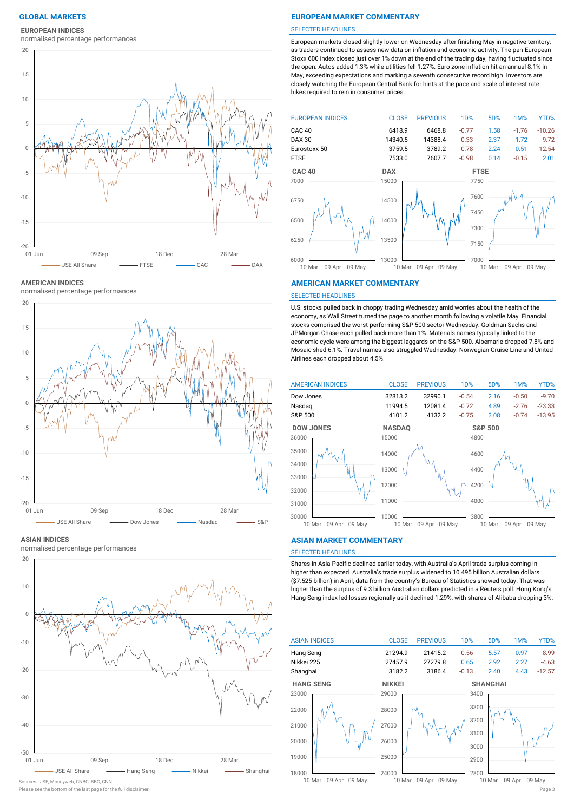**EUROPEAN INDICES**

normalised percentage performances



**AMERICAN INDICES**

normalised percentage performances



#### **ASIAN INDICES**

normalised percentage performances



Please see the bottom of the last page for the full disclaimer Page 3

### **GLOBAL MARKETS EUROPEAN MARKET COMMENTARY**

#### SELECTED HEADLINES

European markets closed slightly lower on Wednesday after finishing May in negative territory, as traders continued to assess new data on inflation and economic activity. The pan-European Stoxx 600 index closed just over 1% down at the end of the trading day, having fluctuated since the open. Autos added 1.3% while utilities fell 1.27%. Euro zone inflation hit an annual 8.1% in May, exceeding expectations and marking a seventh consecutive record high. Investors are closely watching the European Central Bank for hints at the pace and scale of interest rate hikes required to rein in consumer prices.



#### **AMERICAN MARKET COMMENTARY**

#### SELECTED HEADLINES

U.S. stocks pulled back in choppy trading Wednesday amid worries about the health of the economy, as Wall Street turned the page to another month following a volatile May. Financial stocks comprised the worst-performing S&P 500 sector Wednesday. Goldman Sachs and JPMorgan Chase each pulled back more than 1%. Materials names typically linked to the economic cycle were among the biggest laggards on the S&P 500. Albemarle dropped 7.8% and Mosaic shed 6.1%. Travel names also struggled Wednesday. Norwegian Cruise Line and United Airlines each dropped about 4.5%.



#### **ASIAN MARKET COMMENTARY**

### SELECTED HEADLINES

Shares in Asia-Pacific declined earlier today, with Australia's April trade surplus coming in higher than expected. Australia's trade surplus widened to 10.495 billion Australian dollars (\$7.525 billion) in April, data from the country's Bureau of Statistics showed today. That was higher than the surplus of 9.3 billion Australian dollars predicted in a Reuters poll. Hong Kong's Hang Seng index led losses regionally as it declined 1.29%, with shares of Alibaba dropping 3%.